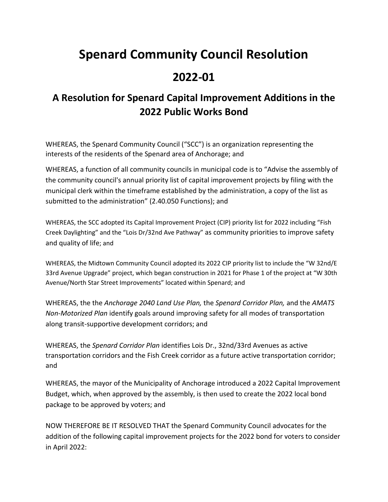## **Spenard Community Council Resolution**

## **2022-01**

## **A Resolution for Spenard Capital Improvement Additions in the 2022 Public Works Bond**

WHEREAS, the Spenard Community Council ("SCC") is an organization representing the interests of the residents of the Spenard area of Anchorage; and

WHEREAS, a function of all community councils in municipal code is to "Advise the assembly of the community council's annual priority list of capital improvement projects by filing with the municipal clerk within the timeframe established by the administration, a copy of the list as submitted to the administration" (2.40.050 Functions); and

WHEREAS, the SCC adopted its Capital Improvement Project (CIP) priority list for 2022 including "Fish Creek Daylighting" and the "Lois Dr/32nd Ave Pathway" as community priorities to improve safety and quality of life; and

WHEREAS, the Midtown Community Council adopted its 2022 CIP priority list to include the "W 32nd/E 33rd Avenue Upgrade" project, which began construction in 2021 for Phase 1 of the project at "W 30th Avenue/North Star Street Improvements" located within Spenard; and

WHEREAS, the the *Anchorage 2040 Land Use Plan,* the *Spenard Corridor Plan,* and the *AMATS Non-Motorized Plan* identify goals around improving safety for all modes of transportation along transit-supportive development corridors; and

WHEREAS, the *Spenard Corridor Plan* identifies Lois Dr., 32nd/33rd Avenues as active transportation corridors and the Fish Creek corridor as a future active transportation corridor; and

WHEREAS, the mayor of the Municipality of Anchorage introduced a 2022 Capital Improvement Budget, which, when approved by the assembly, is then used to create the 2022 local bond package to be approved by voters; and

NOW THEREFORE BE IT RESOLVED THAT the Spenard Community Council advocates for the addition of the following capital improvement projects for the 2022 bond for voters to consider in April 2022: